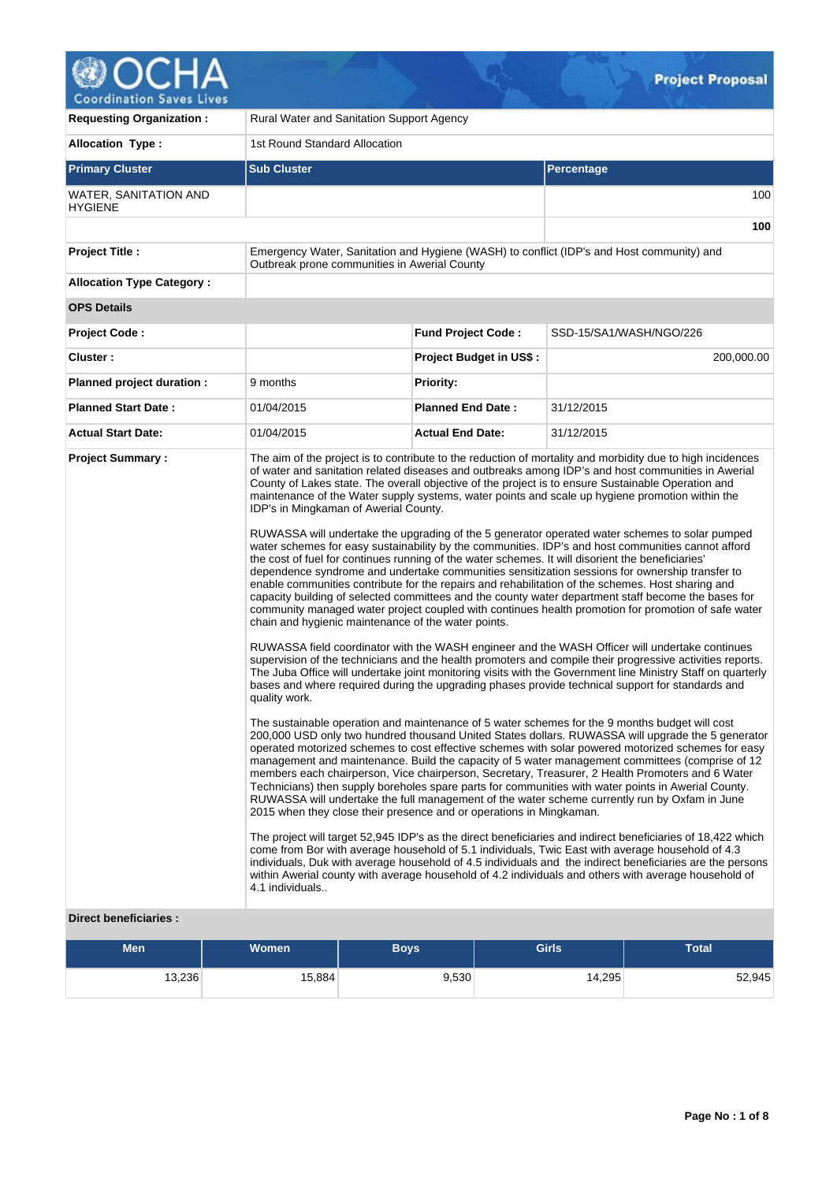

| <b>Requesting Organization:</b>         | Rural Water and Sanitation Support Agency                                 |                                                                                                                                                                                                                                 |                                                                                                                                                                                                                                                                                                                                                                                                                                                                                                                                                                                                                                                                                                                                                                                                                                                                                                                                                                                                                                                                                                                                                                                                                                                                                                                                                                                                                                                                                                                                                                                                                                                                                                                                                                                                                                                                                                                                                                                                                                                                                                                                                                                                                                                                                                                                                                                                                                                                                                                                                                                                                                                              |  |  |  |  |
|-----------------------------------------|---------------------------------------------------------------------------|---------------------------------------------------------------------------------------------------------------------------------------------------------------------------------------------------------------------------------|--------------------------------------------------------------------------------------------------------------------------------------------------------------------------------------------------------------------------------------------------------------------------------------------------------------------------------------------------------------------------------------------------------------------------------------------------------------------------------------------------------------------------------------------------------------------------------------------------------------------------------------------------------------------------------------------------------------------------------------------------------------------------------------------------------------------------------------------------------------------------------------------------------------------------------------------------------------------------------------------------------------------------------------------------------------------------------------------------------------------------------------------------------------------------------------------------------------------------------------------------------------------------------------------------------------------------------------------------------------------------------------------------------------------------------------------------------------------------------------------------------------------------------------------------------------------------------------------------------------------------------------------------------------------------------------------------------------------------------------------------------------------------------------------------------------------------------------------------------------------------------------------------------------------------------------------------------------------------------------------------------------------------------------------------------------------------------------------------------------------------------------------------------------------------------------------------------------------------------------------------------------------------------------------------------------------------------------------------------------------------------------------------------------------------------------------------------------------------------------------------------------------------------------------------------------------------------------------------------------------------------------------------------------|--|--|--|--|
| <b>Allocation Type:</b>                 | 1st Round Standard Allocation                                             |                                                                                                                                                                                                                                 |                                                                                                                                                                                                                                                                                                                                                                                                                                                                                                                                                                                                                                                                                                                                                                                                                                                                                                                                                                                                                                                                                                                                                                                                                                                                                                                                                                                                                                                                                                                                                                                                                                                                                                                                                                                                                                                                                                                                                                                                                                                                                                                                                                                                                                                                                                                                                                                                                                                                                                                                                                                                                                                              |  |  |  |  |
| <b>Primary Cluster</b>                  | <b>Sub Cluster</b>                                                        |                                                                                                                                                                                                                                 | <b>Percentage</b>                                                                                                                                                                                                                                                                                                                                                                                                                                                                                                                                                                                                                                                                                                                                                                                                                                                                                                                                                                                                                                                                                                                                                                                                                                                                                                                                                                                                                                                                                                                                                                                                                                                                                                                                                                                                                                                                                                                                                                                                                                                                                                                                                                                                                                                                                                                                                                                                                                                                                                                                                                                                                                            |  |  |  |  |
| WATER, SANITATION AND<br><b>HYGIENE</b> |                                                                           |                                                                                                                                                                                                                                 | 100                                                                                                                                                                                                                                                                                                                                                                                                                                                                                                                                                                                                                                                                                                                                                                                                                                                                                                                                                                                                                                                                                                                                                                                                                                                                                                                                                                                                                                                                                                                                                                                                                                                                                                                                                                                                                                                                                                                                                                                                                                                                                                                                                                                                                                                                                                                                                                                                                                                                                                                                                                                                                                                          |  |  |  |  |
|                                         |                                                                           |                                                                                                                                                                                                                                 | 100                                                                                                                                                                                                                                                                                                                                                                                                                                                                                                                                                                                                                                                                                                                                                                                                                                                                                                                                                                                                                                                                                                                                                                                                                                                                                                                                                                                                                                                                                                                                                                                                                                                                                                                                                                                                                                                                                                                                                                                                                                                                                                                                                                                                                                                                                                                                                                                                                                                                                                                                                                                                                                                          |  |  |  |  |
| <b>Project Title:</b>                   | Outbreak prone communities in Awerial County                              |                                                                                                                                                                                                                                 | Emergency Water, Sanitation and Hygiene (WASH) to conflict (IDP's and Host community) and                                                                                                                                                                                                                                                                                                                                                                                                                                                                                                                                                                                                                                                                                                                                                                                                                                                                                                                                                                                                                                                                                                                                                                                                                                                                                                                                                                                                                                                                                                                                                                                                                                                                                                                                                                                                                                                                                                                                                                                                                                                                                                                                                                                                                                                                                                                                                                                                                                                                                                                                                                    |  |  |  |  |
| <b>Allocation Type Category:</b>        |                                                                           |                                                                                                                                                                                                                                 |                                                                                                                                                                                                                                                                                                                                                                                                                                                                                                                                                                                                                                                                                                                                                                                                                                                                                                                                                                                                                                                                                                                                                                                                                                                                                                                                                                                                                                                                                                                                                                                                                                                                                                                                                                                                                                                                                                                                                                                                                                                                                                                                                                                                                                                                                                                                                                                                                                                                                                                                                                                                                                                              |  |  |  |  |
| <b>OPS Details</b>                      |                                                                           |                                                                                                                                                                                                                                 |                                                                                                                                                                                                                                                                                                                                                                                                                                                                                                                                                                                                                                                                                                                                                                                                                                                                                                                                                                                                                                                                                                                                                                                                                                                                                                                                                                                                                                                                                                                                                                                                                                                                                                                                                                                                                                                                                                                                                                                                                                                                                                                                                                                                                                                                                                                                                                                                                                                                                                                                                                                                                                                              |  |  |  |  |
| Project Code:                           |                                                                           | <b>Fund Project Code:</b>                                                                                                                                                                                                       | SSD-15/SA1/WASH/NGO/226                                                                                                                                                                                                                                                                                                                                                                                                                                                                                                                                                                                                                                                                                                                                                                                                                                                                                                                                                                                                                                                                                                                                                                                                                                                                                                                                                                                                                                                                                                                                                                                                                                                                                                                                                                                                                                                                                                                                                                                                                                                                                                                                                                                                                                                                                                                                                                                                                                                                                                                                                                                                                                      |  |  |  |  |
| Cluster:                                |                                                                           | <b>Project Budget in US\$:</b>                                                                                                                                                                                                  | 200,000.00                                                                                                                                                                                                                                                                                                                                                                                                                                                                                                                                                                                                                                                                                                                                                                                                                                                                                                                                                                                                                                                                                                                                                                                                                                                                                                                                                                                                                                                                                                                                                                                                                                                                                                                                                                                                                                                                                                                                                                                                                                                                                                                                                                                                                                                                                                                                                                                                                                                                                                                                                                                                                                                   |  |  |  |  |
| Planned project duration :              | 9 months                                                                  | <b>Priority:</b>                                                                                                                                                                                                                |                                                                                                                                                                                                                                                                                                                                                                                                                                                                                                                                                                                                                                                                                                                                                                                                                                                                                                                                                                                                                                                                                                                                                                                                                                                                                                                                                                                                                                                                                                                                                                                                                                                                                                                                                                                                                                                                                                                                                                                                                                                                                                                                                                                                                                                                                                                                                                                                                                                                                                                                                                                                                                                              |  |  |  |  |
| <b>Planned Start Date:</b>              | 01/04/2015                                                                | <b>Planned End Date:</b>                                                                                                                                                                                                        | 31/12/2015                                                                                                                                                                                                                                                                                                                                                                                                                                                                                                                                                                                                                                                                                                                                                                                                                                                                                                                                                                                                                                                                                                                                                                                                                                                                                                                                                                                                                                                                                                                                                                                                                                                                                                                                                                                                                                                                                                                                                                                                                                                                                                                                                                                                                                                                                                                                                                                                                                                                                                                                                                                                                                                   |  |  |  |  |
| <b>Actual Start Date:</b>               | 01/04/2015                                                                | <b>Actual End Date:</b>                                                                                                                                                                                                         | 31/12/2015                                                                                                                                                                                                                                                                                                                                                                                                                                                                                                                                                                                                                                                                                                                                                                                                                                                                                                                                                                                                                                                                                                                                                                                                                                                                                                                                                                                                                                                                                                                                                                                                                                                                                                                                                                                                                                                                                                                                                                                                                                                                                                                                                                                                                                                                                                                                                                                                                                                                                                                                                                                                                                                   |  |  |  |  |
| <b>Project Summary:</b>                 | IDP's in Mingkaman of Awerial County.<br>quality work.<br>4.1 individuals | the cost of fuel for continues running of the water schemes. It will disorient the beneficiaries'<br>chain and hygienic maintenance of the water points.<br>2015 when they close their presence and or operations in Mingkaman. | The aim of the project is to contribute to the reduction of mortality and morbidity due to high incidences<br>of water and sanitation related diseases and outbreaks among IDP's and host communities in Awerial<br>County of Lakes state. The overall objective of the project is to ensure Sustainable Operation and<br>maintenance of the Water supply systems, water points and scale up hygiene promotion within the<br>RUWASSA will undertake the upgrading of the 5 generator operated water schemes to solar pumped<br>water schemes for easy sustainability by the communities. IDP's and host communities cannot afford<br>dependence syndrome and undertake communities sensitization sessions for ownership transfer to<br>enable communities contribute for the repairs and rehabilitation of the schemes. Host sharing and<br>capacity building of selected committees and the county water department staff become the bases for<br>community managed water project coupled with continues health promotion for promotion of safe water<br>RUWASSA field coordinator with the WASH engineer and the WASH Officer will undertake continues<br>supervision of the technicians and the health promoters and compile their progressive activities reports.<br>The Juba Office will undertake joint monitoring visits with the Government line Ministry Staff on quarterly<br>bases and where required during the upgrading phases provide technical support for standards and<br>The sustainable operation and maintenance of 5 water schemes for the 9 months budget will cost<br>200,000 USD only two hundred thousand United States dollars. RUWASSA will upgrade the 5 generator<br>operated motorized schemes to cost effective schemes with solar powered motorized schemes for easy<br>management and maintenance. Build the capacity of 5 water management committees (comprise of 12<br>members each chairperson, Vice chairperson, Secretary, Treasurer, 2 Health Promoters and 6 Water<br>Technicians) then supply boreholes spare parts for communities with water points in Awerial County.<br>RUWASSA will undertake the full management of the water scheme currently run by Oxfam in June<br>The project will target 52,945 IDP's as the direct beneficiaries and indirect beneficiaries of 18,422 which<br>come from Bor with average household of 5.1 individuals, Twic East with average household of 4.3<br>individuals, Duk with average household of 4.5 individuals and the indirect beneficiaries are the persons<br>within Awerial county with average household of 4.2 individuals and others with average household of |  |  |  |  |

## **Direct beneficiaries :**

| <b>Men</b> | <b>Women</b> | <b>Boys</b> | <b>Girls</b> | Total  |
|------------|--------------|-------------|--------------|--------|
| 13,236     | 15,884       | 9,530       | 14,295       | 52,945 |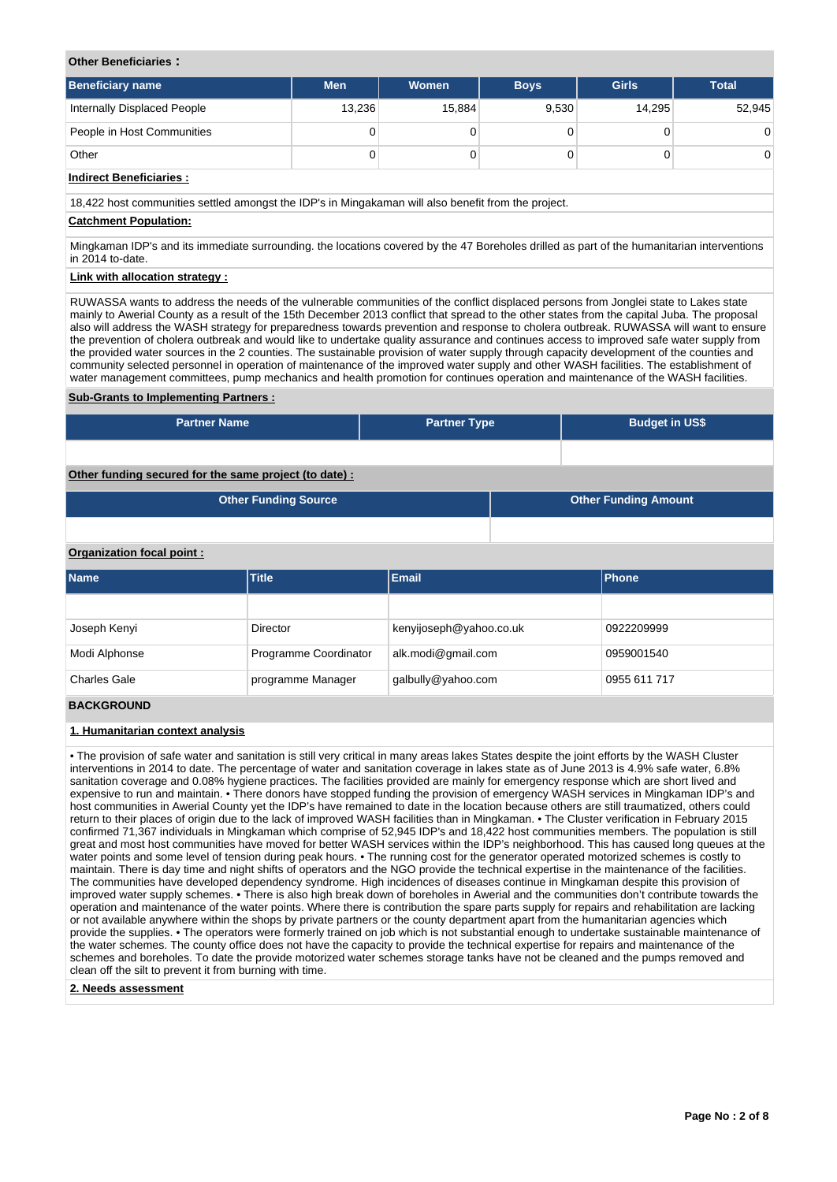## **Other Beneficiaries :**

| <b>Beneficiary name</b>     | <b>Men</b> | Women  | <b>Boys</b> | <b>Girls</b> | <b>Total</b>   |
|-----------------------------|------------|--------|-------------|--------------|----------------|
| Internally Displaced People | 13,236     | 15,884 | 9,530       | 14.295       | 52,945         |
| People in Host Communities  | 0          |        |             |              | $\overline{0}$ |
| Other                       | 0          |        |             |              | $\overline{0}$ |

## **Indirect Beneficiaries :**

18,422 host communities settled amongst the IDP's in Mingakaman will also benefit from the project.

#### **Catchment Population:**

Mingkaman IDP's and its immediate surrounding. the locations covered by the 47 Boreholes drilled as part of the humanitarian interventions in 2014 to-date.

## **Link with allocation strategy :**

RUWASSA wants to address the needs of the vulnerable communities of the conflict displaced persons from Jonglei state to Lakes state mainly to Awerial County as a result of the 15th December 2013 conflict that spread to the other states from the capital Juba. The proposal also will address the WASH strategy for preparedness towards prevention and response to cholera outbreak. RUWASSA will want to ensure the prevention of cholera outbreak and would like to undertake quality assurance and continues access to improved safe water supply from the provided water sources in the 2 counties. The sustainable provision of water supply through capacity development of the counties and community selected personnel in operation of maintenance of the improved water supply and other WASH facilities. The establishment of water management committees, pump mechanics and health promotion for continues operation and maintenance of the WASH facilities.

#### **Sub-Grants to Implementing Partners :**

| <b>Partner Name</b>                                   | <b>Partner Type</b> | <b>Budget in US\$</b>       |  |
|-------------------------------------------------------|---------------------|-----------------------------|--|
|                                                       |                     |                             |  |
| Other funding secured for the same project (to date): |                     |                             |  |
| <b>Other Funding Source</b>                           |                     | <b>Other Funding Amount</b> |  |

#### **Organization focal point :**

| Name                | <b>Title</b>          | <b>Email</b>            | <b>Phone</b> |
|---------------------|-----------------------|-------------------------|--------------|
|                     |                       |                         |              |
| Joseph Kenyi        | Director              | kenyijoseph@yahoo.co.uk | 0922209999   |
| Modi Alphonse       | Programme Coordinator | alk.modi@gmail.com      | 0959001540   |
| <b>Charles Gale</b> | programme Manager     | galbully@yahoo.com      | 0955 611 717 |

#### **BACKGROUND**

#### **1. Humanitarian context analysis**

• The provision of safe water and sanitation is still very critical in many areas lakes States despite the joint efforts by the WASH Cluster interventions in 2014 to date. The percentage of water and sanitation coverage in lakes state as of June 2013 is 4.9% safe water, 6.8% sanitation coverage and 0.08% hygiene practices. The facilities provided are mainly for emergency response which are short lived and expensive to run and maintain. • There donors have stopped funding the provision of emergency WASH services in Mingkaman IDP's and host communities in Awerial County yet the IDP's have remained to date in the location because others are still traumatized, others could return to their places of origin due to the lack of improved WASH facilities than in Mingkaman. • The Cluster verification in February 2015 confirmed 71,367 individuals in Mingkaman which comprise of 52,945 IDP's and 18,422 host communities members. The population is still great and most host communities have moved for better WASH services within the IDP's neighborhood. This has caused long queues at the water points and some level of tension during peak hours. • The running cost for the generator operated motorized schemes is costly to maintain. There is day time and night shifts of operators and the NGO provide the technical expertise in the maintenance of the facilities. The communities have developed dependency syndrome. High incidences of diseases continue in Mingkaman despite this provision of improved water supply schemes. • There is also high break down of boreholes in Awerial and the communities don't contribute towards the operation and maintenance of the water points. Where there is contribution the spare parts supply for repairs and rehabilitation are lacking or not available anywhere within the shops by private partners or the county department apart from the humanitarian agencies which provide the supplies. • The operators were formerly trained on job which is not substantial enough to undertake sustainable maintenance of the water schemes. The county office does not have the capacity to provide the technical expertise for repairs and maintenance of the schemes and boreholes. To date the provide motorized water schemes storage tanks have not be cleaned and the pumps removed and clean off the silt to prevent it from burning with time.

#### **2. Needs assessment**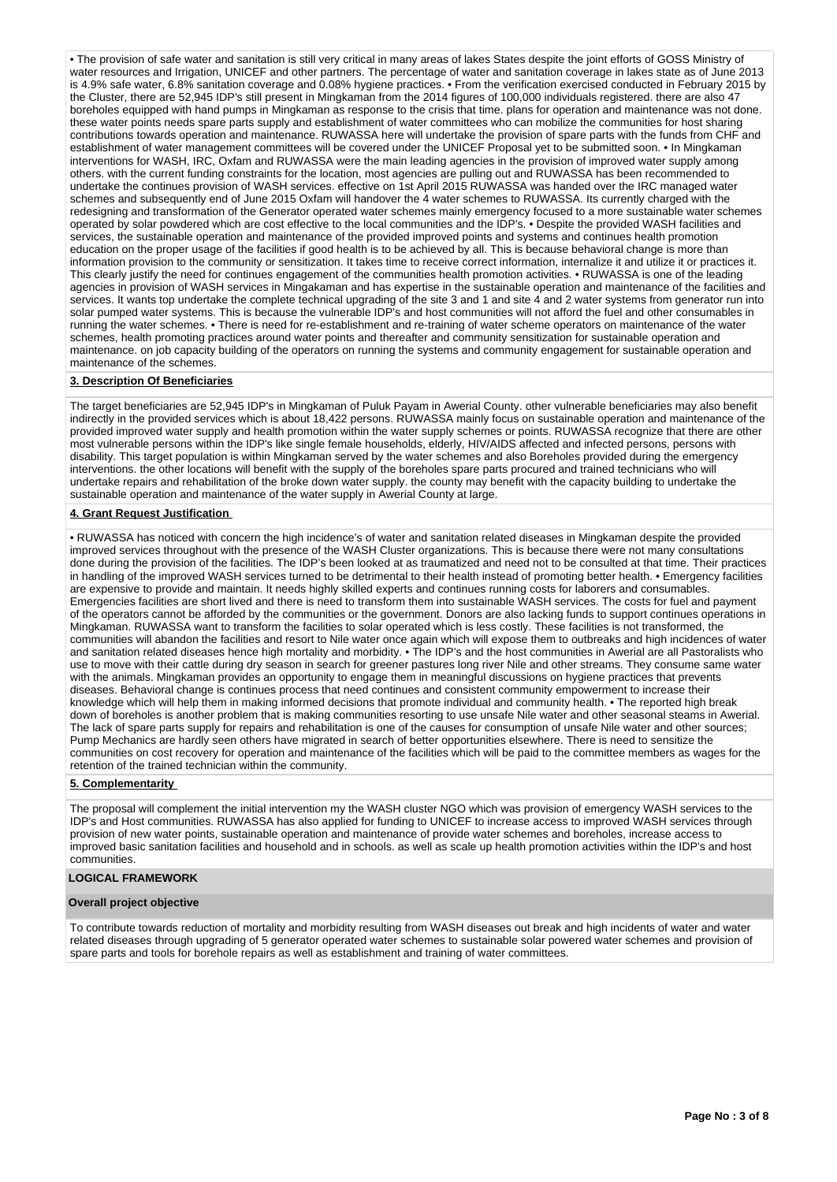• The provision of safe water and sanitation is still very critical in many areas of lakes States despite the joint efforts of GOSS Ministry of water resources and Irrigation, UNICEF and other partners. The percentage of water and sanitation coverage in lakes state as of June 2013 is 4.9% safe water, 6.8% sanitation coverage and 0.08% hygiene practices. • From the verification exercised conducted in February 2015 by the Cluster, there are 52,945 IDP's still present in Mingkaman from the 2014 figures of 100,000 individuals registered. there are also 47 boreholes equipped with hand pumps in Mingkaman as response to the crisis that time. plans for operation and maintenance was not done. these water points needs spare parts supply and establishment of water committees who can mobilize the communities for host sharing contributions towards operation and maintenance. RUWASSA here will undertake the provision of spare parts with the funds from CHF and establishment of water management committees will be covered under the UNICEF Proposal yet to be submitted soon. • In Mingkaman interventions for WASH, IRC, Oxfam and RUWASSA were the main leading agencies in the provision of improved water supply among others. with the current funding constraints for the location, most agencies are pulling out and RUWASSA has been recommended to undertake the continues provision of WASH services. effective on 1st April 2015 RUWASSA was handed over the IRC managed water schemes and subsequently end of June 2015 Oxfam will handover the 4 water schemes to RUWASSA. Its currently charged with the redesigning and transformation of the Generator operated water schemes mainly emergency focused to a more sustainable water schemes operated by solar powdered which are cost effective to the local communities and the IDP's. • Despite the provided WASH facilities and services, the sustainable operation and maintenance of the provided improved points and systems and continues health promotion education on the proper usage of the facilities if good health is to be achieved by all. This is because behavioral change is more than information provision to the community or sensitization. It takes time to receive correct information, internalize it and utilize it or practices it. This clearly justify the need for continues engagement of the communities health promotion activities. • RUWASSA is one of the leading agencies in provision of WASH services in Mingakaman and has expertise in the sustainable operation and maintenance of the facilities and services. It wants top undertake the complete technical upgrading of the site 3 and 1 and site 4 and 2 water systems from generator run into solar pumped water systems. This is because the vulnerable IDP's and host communities will not afford the fuel and other consumables in running the water schemes. • There is need for re-establishment and re-training of water scheme operators on maintenance of the water schemes, health promoting practices around water points and thereafter and community sensitization for sustainable operation and maintenance. on job capacity building of the operators on running the systems and community engagement for sustainable operation and maintenance of the schemes.

#### **3. Description Of Beneficiaries**

The target beneficiaries are 52,945 IDP's in Mingkaman of Puluk Payam in Awerial County. other vulnerable beneficiaries may also benefit indirectly in the provided services which is about 18,422 persons. RUWASSA mainly focus on sustainable operation and maintenance of the provided improved water supply and health promotion within the water supply schemes or points. RUWASSA recognize that there are other most vulnerable persons within the IDP's like single female households, elderly, HIV/AIDS affected and infected persons, persons with disability. This target population is within Mingkaman served by the water schemes and also Boreholes provided during the emergency interventions. the other locations will benefit with the supply of the boreholes spare parts procured and trained technicians who will undertake repairs and rehabilitation of the broke down water supply. the county may benefit with the capacity building to undertake the sustainable operation and maintenance of the water supply in Awerial County at large.

## **4. Grant Request Justification**

• RUWASSA has noticed with concern the high incidence's of water and sanitation related diseases in Mingkaman despite the provided improved services throughout with the presence of the WASH Cluster organizations. This is because there were not many consultations done during the provision of the facilities. The IDP's been looked at as traumatized and need not to be consulted at that time. Their practices in handling of the improved WASH services turned to be detrimental to their health instead of promoting better health. • Emergency facilities are expensive to provide and maintain. It needs highly skilled experts and continues running costs for laborers and consumables. Emergencies facilities are short lived and there is need to transform them into sustainable WASH services. The costs for fuel and payment of the operators cannot be afforded by the communities or the government. Donors are also lacking funds to support continues operations in Mingkaman. RUWASSA want to transform the facilities to solar operated which is less costly. These facilities is not transformed, the communities will abandon the facilities and resort to Nile water once again which will expose them to outbreaks and high incidences of water and sanitation related diseases hence high mortality and morbidity. • The IDP's and the host communities in Awerial are all Pastoralists who use to move with their cattle during dry season in search for greener pastures long river Nile and other streams. They consume same water with the animals. Mingkaman provides an opportunity to engage them in meaningful discussions on hygiene practices that prevents diseases. Behavioral change is continues process that need continues and consistent community empowerment to increase their knowledge which will help them in making informed decisions that promote individual and community health. • The reported high break down of boreholes is another problem that is making communities resorting to use unsafe Nile water and other seasonal steams in Awerial. The lack of spare parts supply for repairs and rehabilitation is one of the causes for consumption of unsafe Nile water and other sources; Pump Mechanics are hardly seen others have migrated in search of better opportunities elsewhere. There is need to sensitize the communities on cost recovery for operation and maintenance of the facilities which will be paid to the committee members as wages for the retention of the trained technician within the community.

#### **5. Complementarity**

The proposal will complement the initial intervention my the WASH cluster NGO which was provision of emergency WASH services to the IDP's and Host communities. RUWASSA has also applied for funding to UNICEF to increase access to improved WASH services through provision of new water points, sustainable operation and maintenance of provide water schemes and boreholes, increase access to improved basic sanitation facilities and household and in schools. as well as scale up health promotion activities within the IDP's and host communities.

#### **LOGICAL FRAMEWORK**

#### **Overall project objective**

To contribute towards reduction of mortality and morbidity resulting from WASH diseases out break and high incidents of water and water related diseases through upgrading of 5 generator operated water schemes to sustainable solar powered water schemes and provision of spare parts and tools for borehole repairs as well as establishment and training of water committees.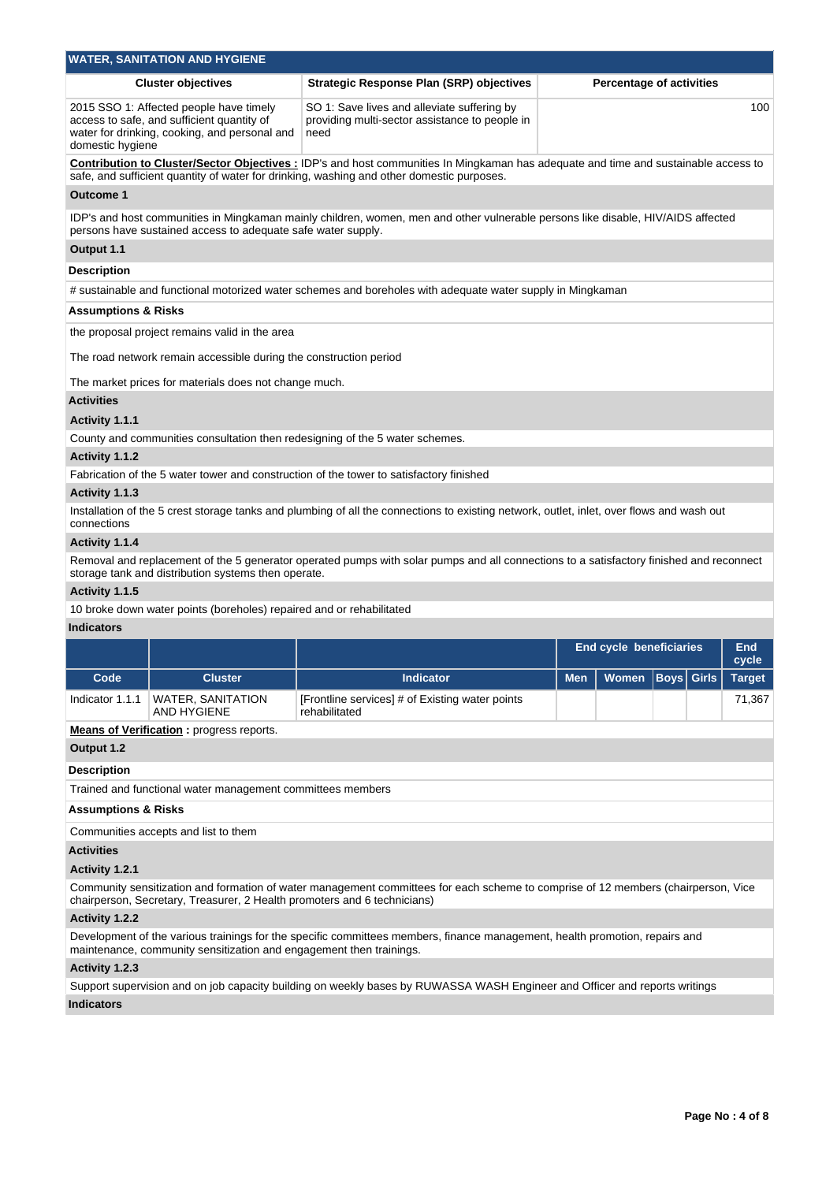|                                     | <b>WATER, SANITATION AND HYGIENE</b>                                                                                                   |                                                                                                                                                                                                                                        |            |                                |                                 |                     |
|-------------------------------------|----------------------------------------------------------------------------------------------------------------------------------------|----------------------------------------------------------------------------------------------------------------------------------------------------------------------------------------------------------------------------------------|------------|--------------------------------|---------------------------------|---------------------|
|                                     | <b>Cluster objectives</b>                                                                                                              | <b>Strategic Response Plan (SRP) objectives</b>                                                                                                                                                                                        |            |                                | <b>Percentage of activities</b> |                     |
| domestic hygiene                    | 2015 SSO 1: Affected people have timely<br>access to safe, and sufficient quantity of<br>water for drinking, cooking, and personal and | SO 1: Save lives and alleviate suffering by<br>providing multi-sector assistance to people in<br>need                                                                                                                                  |            |                                |                                 | 100                 |
|                                     |                                                                                                                                        | <b>Contribution to Cluster/Sector Objectives: IDP's and host communities In Mingkaman has adequate and time and sustainable access to</b><br>safe, and sufficient quantity of water for drinking, washing and other domestic purposes. |            |                                |                                 |                     |
| <b>Outcome 1</b>                    |                                                                                                                                        |                                                                                                                                                                                                                                        |            |                                |                                 |                     |
|                                     | persons have sustained access to adequate safe water supply.                                                                           | IDP's and host communities in Mingkaman mainly children, women, men and other vulnerable persons like disable, HIV/AIDS affected                                                                                                       |            |                                |                                 |                     |
| Output 1.1                          |                                                                                                                                        |                                                                                                                                                                                                                                        |            |                                |                                 |                     |
| Description                         |                                                                                                                                        |                                                                                                                                                                                                                                        |            |                                |                                 |                     |
|                                     |                                                                                                                                        | # sustainable and functional motorized water schemes and boreholes with adequate water supply in Mingkaman                                                                                                                             |            |                                |                                 |                     |
| Assumptions & Risks                 |                                                                                                                                        |                                                                                                                                                                                                                                        |            |                                |                                 |                     |
|                                     | the proposal project remains valid in the area                                                                                         |                                                                                                                                                                                                                                        |            |                                |                                 |                     |
|                                     | The road network remain accessible during the construction period                                                                      |                                                                                                                                                                                                                                        |            |                                |                                 |                     |
|                                     | The market prices for materials does not change much.                                                                                  |                                                                                                                                                                                                                                        |            |                                |                                 |                     |
| <b>Activities</b><br>Activity 1.1.1 |                                                                                                                                        |                                                                                                                                                                                                                                        |            |                                |                                 |                     |
|                                     |                                                                                                                                        | County and communities consultation then redesigning of the 5 water schemes.                                                                                                                                                           |            |                                |                                 |                     |
| Activity 1.1.2                      |                                                                                                                                        |                                                                                                                                                                                                                                        |            |                                |                                 |                     |
|                                     |                                                                                                                                        | Fabrication of the 5 water tower and construction of the tower to satisfactory finished                                                                                                                                                |            |                                |                                 |                     |
| Activity 1.1.3                      |                                                                                                                                        |                                                                                                                                                                                                                                        |            |                                |                                 |                     |
| connections                         |                                                                                                                                        | Installation of the 5 crest storage tanks and plumbing of all the connections to existing network, outlet, inlet, over flows and wash out                                                                                              |            |                                |                                 |                     |
| Activity 1.1.4                      |                                                                                                                                        |                                                                                                                                                                                                                                        |            |                                |                                 |                     |
|                                     | storage tank and distribution systems then operate.                                                                                    | Removal and replacement of the 5 generator operated pumps with solar pumps and all connections to a satisfactory finished and reconnect                                                                                                |            |                                |                                 |                     |
| Activity 1.1.5                      |                                                                                                                                        |                                                                                                                                                                                                                                        |            |                                |                                 |                     |
|                                     | 10 broke down water points (boreholes) repaired and or rehabilitated                                                                   |                                                                                                                                                                                                                                        |            |                                |                                 |                     |
| <b>Indicators</b>                   |                                                                                                                                        |                                                                                                                                                                                                                                        |            |                                |                                 |                     |
|                                     |                                                                                                                                        |                                                                                                                                                                                                                                        |            | <b>End cycle beneficiaries</b> |                                 | <b>End</b><br>cycle |
| Code                                | <b>Cluster</b>                                                                                                                         | <b>Indicator</b>                                                                                                                                                                                                                       | <b>Men</b> |                                | Women Bovs Girls                | <b>Target</b>       |
| Indicator 1.1.1                     | <b>WATER, SANITATION</b><br><b>AND HYGIENE</b>                                                                                         | [Frontline services] # of Existing water points<br>rehabilitated                                                                                                                                                                       |            |                                |                                 | 71,367              |
|                                     | <b>Means of Verification:</b> progress reports.                                                                                        |                                                                                                                                                                                                                                        |            |                                |                                 |                     |
| Output 1.2                          |                                                                                                                                        |                                                                                                                                                                                                                                        |            |                                |                                 |                     |
| Description                         |                                                                                                                                        |                                                                                                                                                                                                                                        |            |                                |                                 |                     |
|                                     | Trained and functional water management committees members                                                                             |                                                                                                                                                                                                                                        |            |                                |                                 |                     |
| Assumptions & Risks                 |                                                                                                                                        |                                                                                                                                                                                                                                        |            |                                |                                 |                     |
|                                     | Communities accepts and list to them                                                                                                   |                                                                                                                                                                                                                                        |            |                                |                                 |                     |
| <b>Activities</b>                   |                                                                                                                                        |                                                                                                                                                                                                                                        |            |                                |                                 |                     |
| Activity 1.2.1                      |                                                                                                                                        |                                                                                                                                                                                                                                        |            |                                |                                 |                     |
|                                     | chairperson, Secretary, Treasurer, 2 Health promoters and 6 technicians)                                                               | Community sensitization and formation of water management committees for each scheme to comprise of 12 members (chairperson, Vice                                                                                                      |            |                                |                                 |                     |
| <b>Activity 1.2.2</b>               |                                                                                                                                        |                                                                                                                                                                                                                                        |            |                                |                                 |                     |
|                                     | maintenance, community sensitization and engagement then trainings.                                                                    | Development of the various trainings for the specific committees members, finance management, health promotion, repairs and                                                                                                            |            |                                |                                 |                     |
| Activity 1.2.3                      |                                                                                                                                        |                                                                                                                                                                                                                                        |            |                                |                                 |                     |
|                                     |                                                                                                                                        | Support supervision and on job capacity building on weekly bases by RUWASSA WASH Engineer and Officer and reports writings                                                                                                             |            |                                |                                 |                     |
| <b>Indicators</b>                   |                                                                                                                                        |                                                                                                                                                                                                                                        |            |                                |                                 |                     |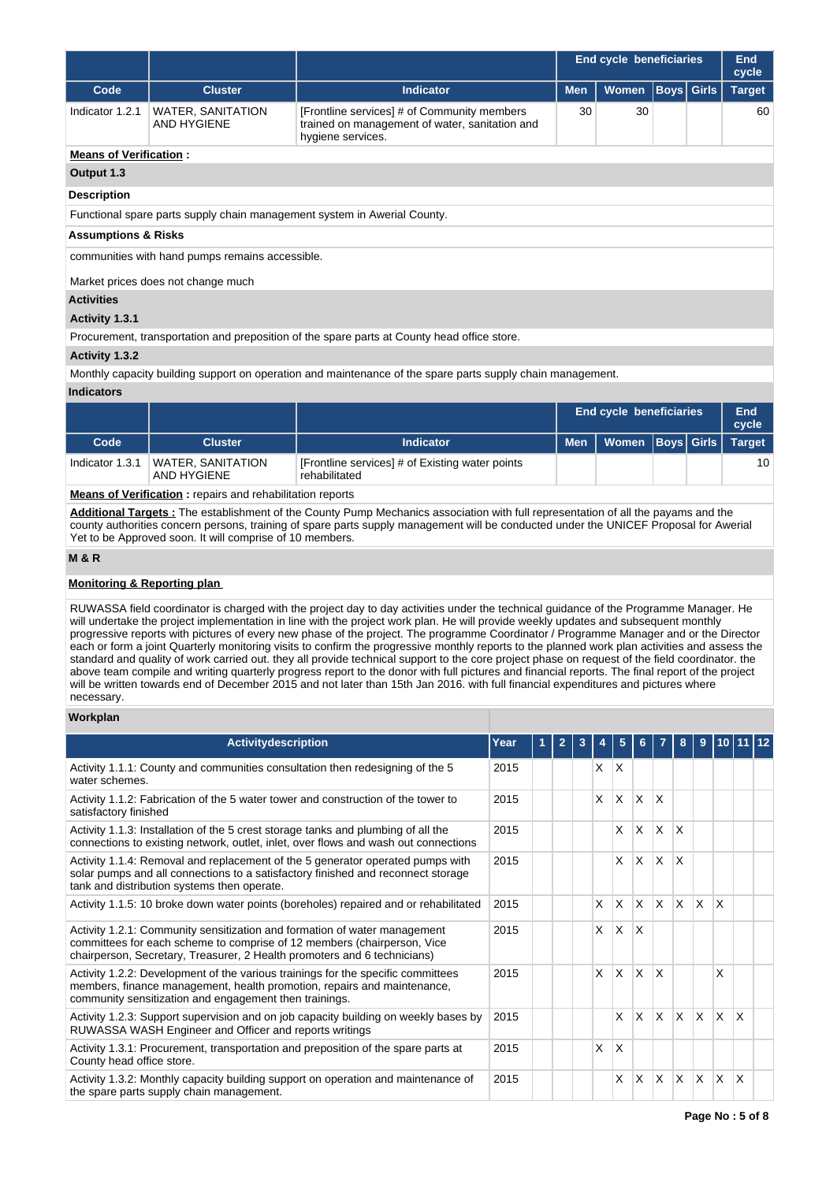|                                |                                                 |                                                                                                                    |                            | <b>End cycle beneficiaries</b> | End<br>cycle |                   |               |  |  |  |
|--------------------------------|-------------------------------------------------|--------------------------------------------------------------------------------------------------------------------|----------------------------|--------------------------------|--------------|-------------------|---------------|--|--|--|
| Code                           | <b>Cluster</b>                                  | <b>Indicator</b>                                                                                                   | <b>Men</b><br><b>Women</b> |                                |              | <b>Boys</b> Girls | <b>Target</b> |  |  |  |
| Indicator 1.2.1                | <b>WATER, SANITATION</b><br><b>AND HYGIENE</b>  | [Frontline services] # of Community members<br>trained on management of water, sanitation and<br>hygiene services. | 30                         | 30                             |              |                   | 60            |  |  |  |
| <b>Means of Verification:</b>  |                                                 |                                                                                                                    |                            |                                |              |                   |               |  |  |  |
| Output 1.3                     |                                                 |                                                                                                                    |                            |                                |              |                   |               |  |  |  |
| <b>Description</b>             |                                                 |                                                                                                                    |                            |                                |              |                   |               |  |  |  |
|                                |                                                 | Functional spare parts supply chain management system in Awerial County.                                           |                            |                                |              |                   |               |  |  |  |
| <b>Assumptions &amp; Risks</b> |                                                 |                                                                                                                    |                            |                                |              |                   |               |  |  |  |
|                                | communities with hand pumps remains accessible. |                                                                                                                    |                            |                                |              |                   |               |  |  |  |
|                                | Market prices does not change much              |                                                                                                                    |                            |                                |              |                   |               |  |  |  |
| <b>Activities</b>              |                                                 |                                                                                                                    |                            |                                |              |                   |               |  |  |  |
| Activity 1.3.1                 |                                                 |                                                                                                                    |                            |                                |              |                   |               |  |  |  |
|                                |                                                 | Procurement, transportation and preposition of the spare parts at County head office store.                        |                            |                                |              |                   |               |  |  |  |

## **Activity 1.3.2**

Monthly capacity building support on operation and maintenance of the spare parts supply chain management.

#### **Indicators**

|                                                                  |                                         |                                                                  |            | <b>End cycle beneficiaries</b> |    |  |               |  |  |
|------------------------------------------------------------------|-----------------------------------------|------------------------------------------------------------------|------------|--------------------------------|----|--|---------------|--|--|
| Code                                                             | <b>Cluster</b>                          | Indicator                                                        | <b>Men</b> | Women   Boys   Girls           |    |  | <b>Target</b> |  |  |
| Indicator 1.3.1                                                  | <b>WATER, SANITATION</b><br>AND HYGIENE | [Frontline services] # of Existing water points<br>rehabilitated |            |                                | 10 |  |               |  |  |
| <b>Means of Verification:</b> repairs and rehabilitation reports |                                         |                                                                  |            |                                |    |  |               |  |  |

**Additional Targets :** The establishment of the County Pump Mechanics association with full representation of all the payams and the county authorities concern persons, training of spare parts supply management will be conducted under the UNICEF Proposal for Awerial Yet to be Approved soon. It will comprise of 10 members.

#### **M & R**

## **Monitoring & Reporting plan**

RUWASSA field coordinator is charged with the project day to day activities under the technical guidance of the Programme Manager. He will undertake the project implementation in line with the project work plan. He will provide weekly updates and subsequent monthly progressive reports with pictures of every new phase of the project. The programme Coordinator / Programme Manager and or the Director each or form a joint Quarterly monitoring visits to confirm the progressive monthly reports to the planned work plan activities and assess the standard and quality of work carried out. they all provide technical support to the core project phase on request of the field coordinator. the above team compile and writing quarterly progress report to the donor with full pictures and financial reports. The final report of the project will be written towards end of December 2015 and not later than 15th Jan 2016. with full financial expenditures and pictures where necessary.

## **Workplan**

| <b>Activitydescription</b>                                                                                                                                                                                                       | Year | $\mathbf{2}$ |              |              |              |          |                         | 9            |          |              |  |
|----------------------------------------------------------------------------------------------------------------------------------------------------------------------------------------------------------------------------------|------|--------------|--------------|--------------|--------------|----------|-------------------------|--------------|----------|--------------|--|
| Activity 1.1.1: County and communities consultation then redesigning of the 5<br>water schemes.                                                                                                                                  | 2015 |              | <b>X</b>     | ΙX           |              |          |                         |              |          |              |  |
| Activity 1.1.2: Fabrication of the 5 water tower and construction of the tower to<br>satisfactory finished                                                                                                                       | 2015 |              | $\mathsf{x}$ | $\times$     | $\times$     | X        |                         |              |          |              |  |
| Activity 1.1.3: Installation of the 5 crest storage tanks and plumbing of all the<br>connections to existing network, outlet, inlet, over flows and wash out connections                                                         | 2015 |              |              | X            | $\times$     | X        | $\overline{\mathsf{x}}$ |              |          |              |  |
| Activity 1.1.4: Removal and replacement of the 5 generator operated pumps with<br>solar pumps and all connections to a satisfactory finished and reconnect storage<br>tank and distribution systems then operate.                | 2015 |              |              | X            | $\mathsf{x}$ | X        | $\mathsf{\chi}$         |              |          |              |  |
| Activity 1.1.5: 10 broke down water points (boreholes) repaired and or rehabilitated                                                                                                                                             | 2015 |              | X            | X            | $\mathsf{x}$ | ΙX.      | ΙX                      | ΙX.          | $\times$ |              |  |
| Activity 1.2.1: Community sensitization and formation of water management<br>committees for each scheme to comprise of 12 members (chairperson, Vice<br>chairperson, Secretary, Treasurer, 2 Health promoters and 6 technicians) | 2015 |              | $\mathsf{x}$ | $\mathsf{x}$ | $\times$     |          |                         |              |          |              |  |
| Activity 1.2.2: Development of the various trainings for the specific committees<br>members, finance management, health promotion, repairs and maintenance,<br>community sensitization and engagement then trainings.            | 2015 |              | $\mathsf{X}$ | X            | $\mathsf{x}$ | X        |                         |              | X        |              |  |
| Activity 1.2.3: Support supervision and on job capacity building on weekly bases by<br>RUWASSA WASH Engineer and Officer and reports writings                                                                                    | 2015 |              |              | X            | $\mathsf{x}$ | <b>X</b> | ΙX.                     | $\mathsf{X}$ | <b>X</b> | $\mathsf{x}$ |  |
| Activity 1.3.1: Procurement, transportation and preposition of the spare parts at<br>County head office store.                                                                                                                   | 2015 |              | X            | X            |              |          |                         |              |          |              |  |
| Activity 1.3.2: Monthly capacity building support on operation and maintenance of<br>the spare parts supply chain management.                                                                                                    | 2015 |              |              | X            | X            | X        | ΙX.                     | $\mathsf{X}$ | $\times$ | $\mathsf{X}$ |  |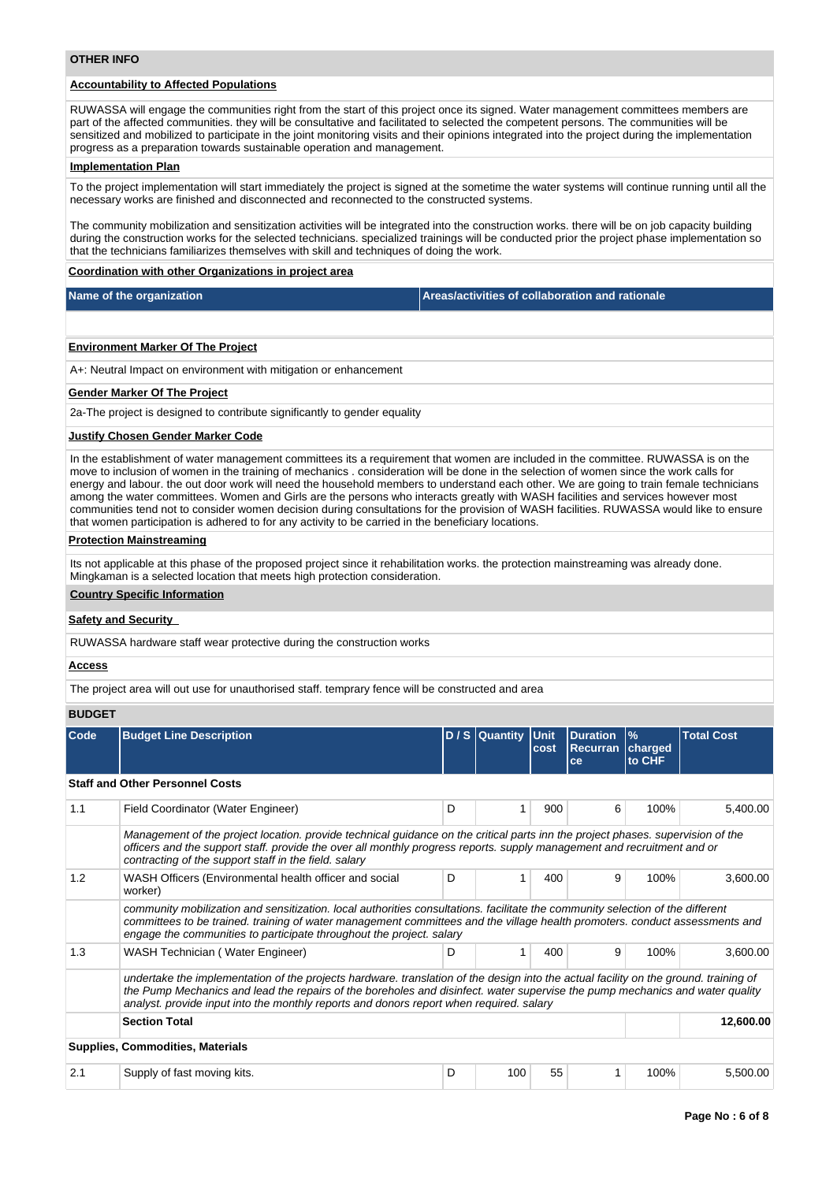# **Accountability to Affected Populations**

RUWASSA will engage the communities right from the start of this project once its signed. Water management committees members are part of the affected communities. they will be consultative and facilitated to selected the competent persons. The communities will be sensitized and mobilized to participate in the joint monitoring visits and their opinions integrated into the project during the implementation progress as a preparation towards sustainable operation and management.

#### **Implementation Plan**

To the project implementation will start immediately the project is signed at the sometime the water systems will continue running until all the necessary works are finished and disconnected and reconnected to the constructed systems.

The community mobilization and sensitization activities will be integrated into the construction works. there will be on job capacity building during the construction works for the selected technicians. specialized trainings will be conducted prior the project phase implementation so that the technicians familiarizes themselves with skill and techniques of doing the work.

#### **Coordination with other Organizations in project area**

| Name of the organization                                         | Areas/activities of collaboration and rationale |
|------------------------------------------------------------------|-------------------------------------------------|
|                                                                  |                                                 |
| <b>Environment Marker Of The Project</b>                         |                                                 |
| A+: Neutral Impact on environment with mitigation or enhancement |                                                 |
| <b>Gender Marker Of The Project</b>                              |                                                 |

2a-The project is designed to contribute significantly to gender equality

#### **Justify Chosen Gender Marker Code**

In the establishment of water management committees its a requirement that women are included in the committee. RUWASSA is on the move to inclusion of women in the training of mechanics . consideration will be done in the selection of women since the work calls for energy and labour. the out door work will need the household members to understand each other. We are going to train female technicians among the water committees. Women and Girls are the persons who interacts greatly with WASH facilities and services however most communities tend not to consider women decision during consultations for the provision of WASH facilities. RUWASSA would like to ensure that women participation is adhered to for any activity to be carried in the beneficiary locations.

#### **Protection Mainstreaming**

Its not applicable at this phase of the proposed project since it rehabilitation works. the protection mainstreaming was already done. Mingkaman is a selected location that meets high protection consideration.

#### **Country Specific Information**

#### **Safety and Security**

RUWASSA hardware staff wear protective during the construction works

#### **Access**

The project area will out use for unauthorised staff. temprary fence will be constructed and area

### **BUDGET**

| Code | <b>Budget Line Description</b>                                                                                                                                                                                                                                                                                                                                  |   | D/S Quantity Unit | cost | <b>Duration</b><br>Recurran | $\frac{9}{6}$<br>charged | <b>Total Cost</b> |
|------|-----------------------------------------------------------------------------------------------------------------------------------------------------------------------------------------------------------------------------------------------------------------------------------------------------------------------------------------------------------------|---|-------------------|------|-----------------------------|--------------------------|-------------------|
|      |                                                                                                                                                                                                                                                                                                                                                                 |   |                   |      | ce                          | to CHF                   |                   |
|      | <b>Staff and Other Personnel Costs</b>                                                                                                                                                                                                                                                                                                                          |   |                   |      |                             |                          |                   |
| 1.1  | Field Coordinator (Water Engineer)                                                                                                                                                                                                                                                                                                                              | D |                   | 900  | 6                           | 100%                     | 5,400.00          |
|      | Management of the project location, provide technical guidance on the critical parts inn the project phases, supervision of the<br>officers and the support staff. provide the over all monthly progress reports. supply management and recruitment and or<br>contracting of the support staff in the field. salary                                             |   |                   |      |                             |                          |                   |
| 1.2  | WASH Officers (Environmental health officer and social<br>worker)                                                                                                                                                                                                                                                                                               | D |                   | 400  | 9                           | 100%                     | 3,600.00          |
|      | community mobilization and sensitization. local authorities consultations, facilitate the community selection of the different<br>committees to be trained. training of water management committees and the village health promoters. conduct assessments and<br>engage the communities to participate throughout the project. salary                           |   |                   |      |                             |                          |                   |
| 1.3  | WASH Technician (Water Engineer)                                                                                                                                                                                                                                                                                                                                | D | 1                 | 400  | 9                           | 100%                     | 3,600.00          |
|      | undertake the implementation of the projects hardware, translation of the design into the actual facility on the ground, training of<br>the Pump Mechanics and lead the repairs of the boreholes and disinfect. water supervise the pump mechanics and water quality<br>analyst. provide input into the monthly reports and donors report when required. salary |   |                   |      |                             |                          |                   |
|      | <b>Section Total</b>                                                                                                                                                                                                                                                                                                                                            |   |                   |      |                             |                          | 12,600.00         |
|      | <b>Supplies, Commodities, Materials</b>                                                                                                                                                                                                                                                                                                                         |   |                   |      |                             |                          |                   |
| 2.1  | Supply of fast moving kits.                                                                                                                                                                                                                                                                                                                                     | D | 100               | 55   | 1                           | 100%                     | 5,500.00          |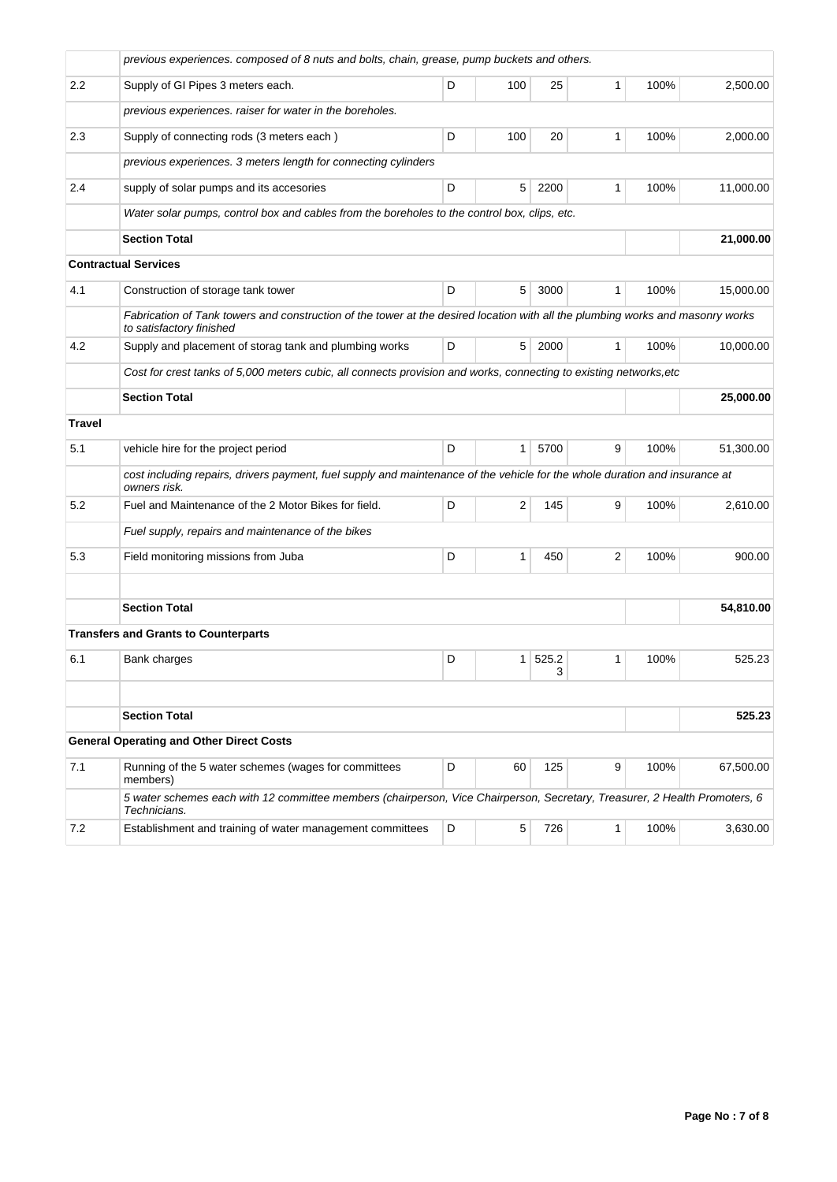|               | previous experiences. composed of 8 nuts and bolts, chain, grease, pump buckets and others.                                                                |   |                                                                                                                                                                                                                                                                  |          |   |      |           |
|---------------|------------------------------------------------------------------------------------------------------------------------------------------------------------|---|------------------------------------------------------------------------------------------------------------------------------------------------------------------------------------------------------------------------------------------------------------------|----------|---|------|-----------|
| 2.2           | Supply of GI Pipes 3 meters each.                                                                                                                          | D | 100                                                                                                                                                                                                                                                              | 25       | 1 | 100% | 2,500.00  |
|               | previous experiences. raiser for water in the boreholes.                                                                                                   |   |                                                                                                                                                                                                                                                                  |          |   |      |           |
| 2.3           | Supply of connecting rods (3 meters each)                                                                                                                  | D | 100<br>20<br>1<br>100%<br>5<br>100%<br>2200<br>1<br>5<br>3000<br>100%<br>1<br>5<br>2000<br>100%<br>1<br>$\mathbf{1}$<br>5700<br>9<br>100%<br>2<br>9<br>145<br>100%<br>1<br>450<br>2<br>100%<br>$\mathbf{1}$<br>525.2<br>1<br>100%<br>3<br>60<br>125<br>9<br>100% | 2,000.00 |   |      |           |
|               | previous experiences. 3 meters length for connecting cylinders                                                                                             |   |                                                                                                                                                                                                                                                                  |          |   |      |           |
| 2.4           | supply of solar pumps and its accesories                                                                                                                   | D |                                                                                                                                                                                                                                                                  |          |   |      | 11,000.00 |
|               | Water solar pumps, control box and cables from the boreholes to the control box, clips, etc.                                                               |   |                                                                                                                                                                                                                                                                  |          |   |      |           |
|               | <b>Section Total</b>                                                                                                                                       |   |                                                                                                                                                                                                                                                                  |          |   |      | 21,000.00 |
|               | <b>Contractual Services</b>                                                                                                                                |   |                                                                                                                                                                                                                                                                  |          |   |      |           |
| 4.1           | Construction of storage tank tower                                                                                                                         | D |                                                                                                                                                                                                                                                                  |          |   |      | 15,000.00 |
|               | Fabrication of Tank towers and construction of the tower at the desired location with all the plumbing works and masonry works<br>to satisfactory finished |   |                                                                                                                                                                                                                                                                  |          |   |      |           |
| 4.2           | Supply and placement of storag tank and plumbing works                                                                                                     | D |                                                                                                                                                                                                                                                                  |          |   |      | 10,000.00 |
|               | Cost for crest tanks of 5,000 meters cubic, all connects provision and works, connecting to existing networks,etc                                          |   |                                                                                                                                                                                                                                                                  |          |   |      |           |
|               | <b>Section Total</b>                                                                                                                                       |   |                                                                                                                                                                                                                                                                  |          |   |      | 25,000.00 |
| <b>Travel</b> |                                                                                                                                                            |   |                                                                                                                                                                                                                                                                  |          |   |      |           |
| 5.1           | vehicle hire for the project period                                                                                                                        | D |                                                                                                                                                                                                                                                                  |          |   |      | 51,300.00 |
|               | cost including repairs, drivers payment, fuel supply and maintenance of the vehicle for the whole duration and insurance at<br>owners risk.                |   |                                                                                                                                                                                                                                                                  |          |   |      |           |
| 5.2           | Fuel and Maintenance of the 2 Motor Bikes for field.                                                                                                       | D |                                                                                                                                                                                                                                                                  |          |   |      | 2,610.00  |
|               | Fuel supply, repairs and maintenance of the bikes                                                                                                          |   |                                                                                                                                                                                                                                                                  |          |   |      |           |
| 5.3           | Field monitoring missions from Juba                                                                                                                        | D |                                                                                                                                                                                                                                                                  |          |   |      | 900.00    |
|               |                                                                                                                                                            |   |                                                                                                                                                                                                                                                                  |          |   |      |           |
|               | <b>Section Total</b>                                                                                                                                       |   |                                                                                                                                                                                                                                                                  |          |   |      | 54,810.00 |
|               | <b>Transfers and Grants to Counterparts</b>                                                                                                                |   |                                                                                                                                                                                                                                                                  |          |   |      |           |
| 6.1           | Bank charges                                                                                                                                               | D |                                                                                                                                                                                                                                                                  |          |   |      | 525.23    |
|               |                                                                                                                                                            |   |                                                                                                                                                                                                                                                                  |          |   |      |           |
|               | <b>Section Total</b>                                                                                                                                       |   |                                                                                                                                                                                                                                                                  |          |   |      | 525.23    |
|               | <b>General Operating and Other Direct Costs</b>                                                                                                            |   |                                                                                                                                                                                                                                                                  |          |   |      |           |
| 7.1           | Running of the 5 water schemes (wages for committees<br>members)                                                                                           | D |                                                                                                                                                                                                                                                                  |          |   |      | 67,500.00 |
|               | 5 water schemes each with 12 committee members (chairperson, Vice Chairperson, Secretary, Treasurer, 2 Health Promoters, 6<br>Technicians.                 |   |                                                                                                                                                                                                                                                                  |          |   |      |           |
| 7.2           | Establishment and training of water management committees                                                                                                  | D | 5                                                                                                                                                                                                                                                                | 726      | 1 | 100% | 3,630.00  |